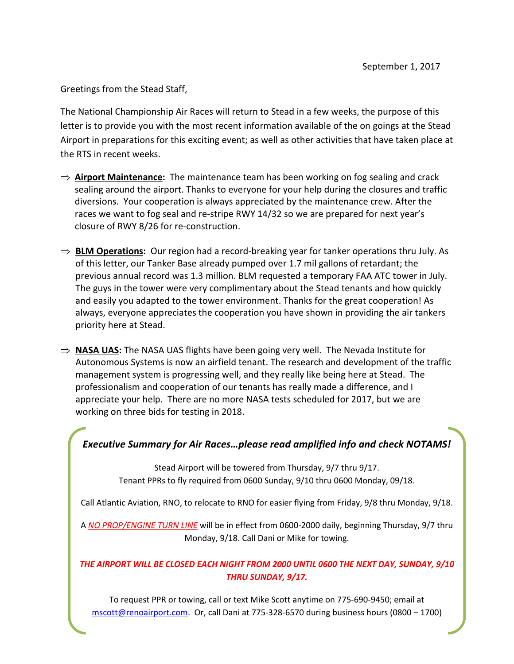Greetings from the Stead Staff,

The National Championship Air Races will return to Stead in a few weeks, the purpose of this letter is to provide you with the most recent information available of the on goings at the Stead Airport in preparations for this exciting event; as well as other activities that have taken place at the RTS in recent weeks.

- ⇒ **Airport Maintenance:** The maintenance team has been working on fog sealing and crack sealing around the airport. Thanks to everyone for your help during the closures and traffic diversions. Your cooperation is always appreciated by the maintenance crew. After the races we want to fog seal and re-stripe RWY 14/32 so we are prepared for next year's closure of RWY 8/26 for re-construction.
- ⇒ **BLM Operations:** Our region had a record-breaking year for tanker operations thru July. As of this letter, our Tanker Base already pumped over 1.7 mil gallons of retardant; the previous annual record was 1.3 million. BLM requested a temporary FAA ATC tower in July. The guys in the tower were very complimentary about the Stead tenants and how quickly and easily you adapted to the tower environment. Thanks for the great cooperation! As always, everyone appreciates the cooperation you have shown in providing the air tankers priority here at Stead.
- ⇒ **NASA UAS:** The NASA UAS flights have been going very well. The Nevada Institute for Autonomous Systems is now an airfield tenant. The research and development of the traffic management system is progressing well, and they really like being here at Stead. The professionalism and cooperation of our tenants has really made a difference, and I appreciate your help. There are no more NASA tests scheduled for 2017, but we are working on three bids for testing in 2018.

## *Executive Summary for Air Races…please read amplified info and check NOTAMS!*

Stead Airport will be towered from Thursday, 9/7 thru 9/17. Tenant PPRs to fly required from 0600 Sunday, 9/10 thru 0600 Monday, 09/18.

Call Atlantic Aviation, RNO, to relocate to RNO for easier flying from Friday, 9/8 thru Monday, 9/18.

A *NO PROP/ENGINE TURN LINE* will be in effect from 0600-2000 daily, beginning Thursday, 9/7 thru Monday, 9/18. Call Dani or Mike for towing.

## *THE AIRPORT WILL BE CLOSED EACH NIGHT FROM 2000 UNTIL 0600 THE NEXT DAY, SUNDAY, 9/10 THRU SUNDAY, 9/17.*

To request PPR or towing, call or text Mike Scott anytime on 775-690-9450; email at mscott@renoairport.com. Or, call Dani at 775-328-6570 during business hours (0800 – 1700)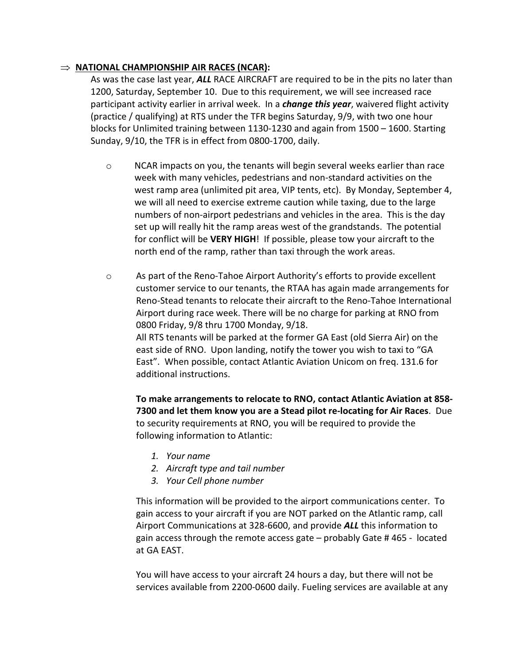## ⇒ **NATIONAL CHAMPIONSHIP AIR RACES (NCAR):**

As was the case last year, *ALL* RACE AIRCRAFT are required to be in the pits no later than 1200, Saturday, September 10. Due to this requirement, we will see increased race participant activity earlier in arrival week. In a *change this year*, waivered flight activity (practice / qualifying) at RTS under the TFR begins Saturday, 9/9, with two one hour blocks for Unlimited training between 1130-1230 and again from 1500 – 1600. Starting Sunday, 9/10, the TFR is in effect from 0800-1700, daily.

- o NCAR impacts on you, the tenants will begin several weeks earlier than race week with many vehicles, pedestrians and non-standard activities on the west ramp area (unlimited pit area, VIP tents, etc). By Monday, September 4, we will all need to exercise extreme caution while taxing, due to the large numbers of non-airport pedestrians and vehicles in the area. This is the day set up will really hit the ramp areas west of the grandstands. The potential for conflict will be **VERY HIGH**! If possible, please tow your aircraft to the north end of the ramp, rather than taxi through the work areas.
- o As part of the Reno-Tahoe Airport Authority's efforts to provide excellent customer service to our tenants, the RTAA has again made arrangements for Reno-Stead tenants to relocate their aircraft to the Reno-Tahoe International Airport during race week. There will be no charge for parking at RNO from 0800 Friday, 9/8 thru 1700 Monday, 9/18. All RTS tenants will be parked at the former GA East (old Sierra Air) on the east side of RNO. Upon landing, notify the tower you wish to taxi to "GA East". When possible, contact Atlantic Aviation Unicom on freq. 131.6 for additional instructions.

**To make arrangements to relocate to RNO, contact Atlantic Aviation at 858- 7300 and let them know you are a Stead pilot re-locating for Air Races**. Due to security requirements at RNO, you will be required to provide the following information to Atlantic:

- *1. Your name*
- *2. Aircraft type and tail number*
- *3. Your Cell phone number*

This information will be provided to the airport communications center. To gain access to your aircraft if you are NOT parked on the Atlantic ramp, call Airport Communications at 328-6600, and provide *ALL* this information to gain access through the remote access gate – probably Gate # 465 - located at GA EAST.

You will have access to your aircraft 24 hours a day, but there will not be services available from 2200-0600 daily. Fueling services are available at any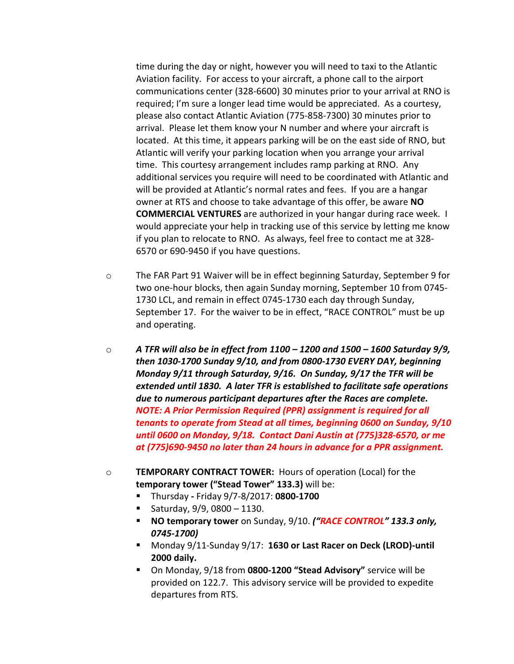time during the day or night, however you will need to taxi to the Atlantic Aviation facility. For access to your aircraft, a phone call to the airport communications center (328-6600) 30 minutes prior to your arrival at RNO is required; I'm sure a longer lead time would be appreciated. As a courtesy, please also contact Atlantic Aviation (775-858-7300) 30 minutes prior to arrival. Please let them know your N number and where your aircraft is located. At this time, it appears parking will be on the east side of RNO, but Atlantic will verify your parking location when you arrange your arrival time. This courtesy arrangement includes ramp parking at RNO. Any additional services you require will need to be coordinated with Atlantic and will be provided at Atlantic's normal rates and fees. If you are a hangar owner at RTS and choose to take advantage of this offer, be aware **NO COMMERCIAL VENTURES** are authorized in your hangar during race week. I would appreciate your help in tracking use of this service by letting me know if you plan to relocate to RNO. As always, feel free to contact me at 328- 6570 or 690-9450 if you have questions.

- o The FAR Part 91 Waiver will be in effect beginning Saturday, September 9 for two one-hour blocks, then again Sunday morning, September 10 from 0745- 1730 LCL, and remain in effect 0745-1730 each day through Sunday, September 17. For the waiver to be in effect, "RACE CONTROL" must be up and operating.
- $\circ$  **A TFR will also be in effect from 1100 1200 and 1500 1600 Saturday 9/9,** *then 1030-1700 Sunday 9/10, and from 0800-1730 EVERY DAY, beginning Monday 9/11 through Saturday, 9/16. On Sunday, 9/17 the TFR will be extended until 1830. A later TFR is established to facilitate safe operations due to numerous participant departures after the Races are complete. NOTE: A Prior Permission Required (PPR) assignment is required for all tenants to operate from Stead at all times, beginning 0600 on Sunday, 9/10 until 0600 on Monday, 9/18. Contact Dani Austin at (775)328-6570, or me at (775)690-9450 no later than 24 hours in advance for a PPR assignment.*
- o **TEMPORARY CONTRACT TOWER:** Hours of operation (Local) for the **temporary tower ("Stead Tower" 133.3)** will be:
	- ThursdayFriday 9/7-8/2017: **0800-1700**
	- Saturday, 9/9, 0800 1130.
	- **NO temporary tower** on Sunday, 9/10. *("RACE CONTROL" 133.3 only, 0745-1700)*
	- Monday 9/11-Sunday 9/17: **1630 or Last Racer on Deck (LROD)-until 2000 daily.**
	- On Monday, 9/18 from **0800-1200 "Stead Advisory"** service will be provided on 122.7. This advisory service will be provided to expedite departures from RTS.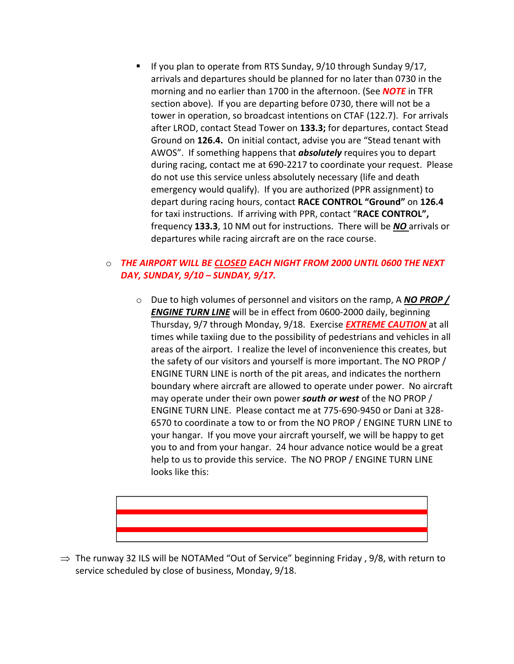If you plan to operate from RTS Sunday, 9/10 through Sunday 9/17, arrivals and departures should be planned for no later than 0730 in the morning and no earlier than 1700 in the afternoon. (See *NOTE* in TFR section above). If you are departing before 0730, there will not be a tower in operation, so broadcast intentions on CTAF (122.7). For arrivals after LROD, contact Stead Tower on **133.3;** for departures, contact Stead Ground on **126.4.** On initial contact, advise you are "Stead tenant with AWOS". If something happens that *absolutely* requires you to depart during racing, contact me at 690-2217 to coordinate your request. Please do not use this service unless absolutely necessary (life and death emergency would qualify). If you are authorized (PPR assignment) to depart during racing hours, contact **RACE CONTROL "Ground"** on **126.4**  for taxi instructions. If arriving with PPR, contact "**RACE CONTROL",**  frequency **133.3**, 10 NM out for instructions. There will be *NO* arrivals or departures while racing aircraft are on the race course.

## o *THE AIRPORT WILL BE CLOSED EACH NIGHT FROM 2000 UNTIL 0600 THE NEXT DAY, SUNDAY, 9/10 – SUNDAY, 9/17.*

o Due to high volumes of personnel and visitors on the ramp, A *NO PROP / ENGINE TURN LINE* will be in effect from 0600-2000 daily, beginning Thursday, 9/7 through Monday, 9/18. Exercise *EXTREME CAUTION* at all times while taxiing due to the possibility of pedestrians and vehicles in all areas of the airport. I realize the level of inconvenience this creates, but the safety of our visitors and yourself is more important. The NO PROP / ENGINE TURN LINE is north of the pit areas, and indicates the northern boundary where aircraft are allowed to operate under power. No aircraft may operate under their own power *south or west* of the NO PROP / ENGINE TURN LINE. Please contact me at 775-690-9450 or Dani at 328- 6570 to coordinate a tow to or from the NO PROP / ENGINE TURN LINE to your hangar. If you move your aircraft yourself, we will be happy to get you to and from your hangar. 24 hour advance notice would be a great help to us to provide this service. The NO PROP / ENGINE TURN LINE looks like this:



 $\Rightarrow$  The runway 32 ILS will be NOTAMed "Out of Service" beginning Friday, 9/8, with return to service scheduled by close of business, Monday, 9/18.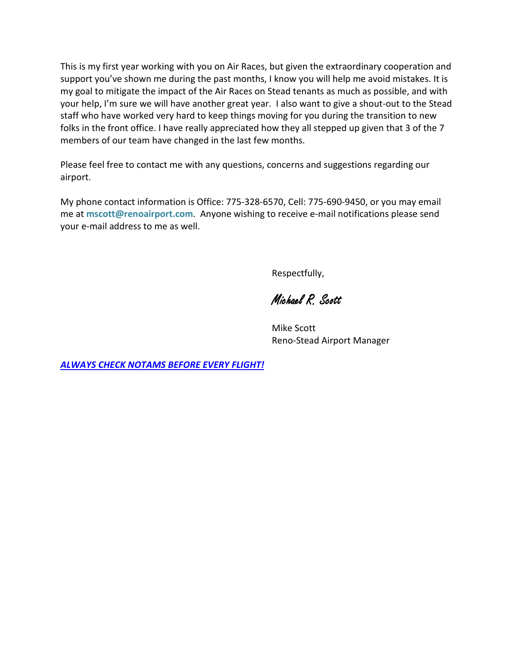This is my first year working with you on Air Races, but given the extraordinary cooperation and support you've shown me during the past months, I know you will help me avoid mistakes. It is my goal to mitigate the impact of the Air Races on Stead tenants as much as possible, and with your help, I'm sure we will have another great year. I also want to give a shout-out to the Stead staff who have worked very hard to keep things moving for you during the transition to new folks in the front office. I have really appreciated how they all stepped up given that 3 of the 7 members of our team have changed in the last few months.

Please feel free to contact me with any questions, concerns and suggestions regarding our airport.

My phone contact information is Office: 775-328-6570, Cell: 775-690-9450, or you may email me at **mscott@renoairport.com**. Anyone wishing to receive e-mail notifications please send your e-mail address to me as well.

Respectfully,

Michael R. Scott

Mike Scott Reno-Stead Airport Manager

*ALWAYS CHECK NOTAMS BEFORE EVERY FLIGHT!*